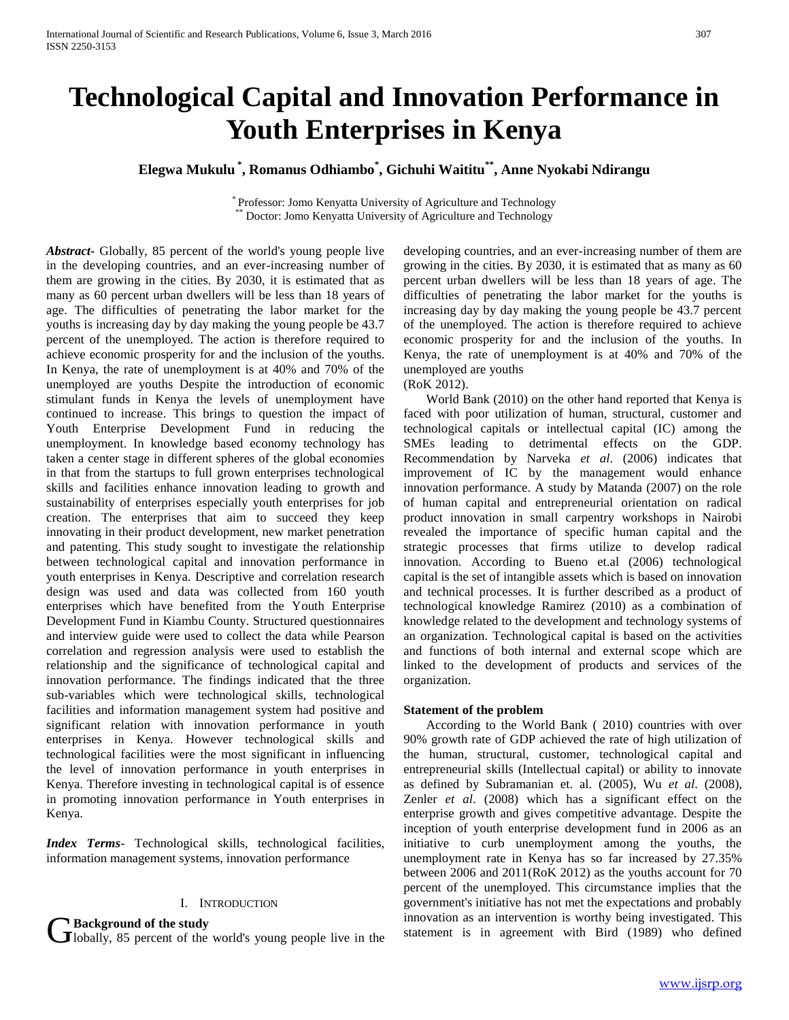# **Technological Capital and Innovation Performance in Youth Enterprises in Kenya**

## **Elegwa Mukulu \* , Romanus Odhiambo\* , Gichuhi Waititu\*\* , Anne Nyokabi Ndirangu**

\* Professor: Jomo Kenyatta University of Agriculture and Technology Doctor: Jomo Kenyatta University of Agriculture and Technology

*Abstract***-** Globally, 85 percent of the world's young people live in the developing countries, and an ever-increasing number of them are growing in the cities. By 2030, it is estimated that as many as 60 percent urban dwellers will be less than 18 years of age. The difficulties of penetrating the labor market for the youths is increasing day by day making the young people be 43.7 percent of the unemployed. The action is therefore required to achieve economic prosperity for and the inclusion of the youths. In Kenya, the rate of unemployment is at 40% and 70% of the unemployed are youths Despite the introduction of economic stimulant funds in Kenya the levels of unemployment have continued to increase. This brings to question the impact of Youth Enterprise Development Fund in reducing the unemployment. In knowledge based economy technology has taken a center stage in different spheres of the global economies in that from the startups to full grown enterprises technological skills and facilities enhance innovation leading to growth and sustainability of enterprises especially youth enterprises for job creation. The enterprises that aim to succeed they keep innovating in their product development, new market penetration and patenting. This study sought to investigate the relationship between technological capital and innovation performance in youth enterprises in Kenya. Descriptive and correlation research design was used and data was collected from 160 youth enterprises which have benefited from the Youth Enterprise Development Fund in Kiambu County. Structured questionnaires and interview guide were used to collect the data while Pearson correlation and regression analysis were used to establish the relationship and the significance of technological capital and innovation performance. The findings indicated that the three sub-variables which were technological skills, technological facilities and information management system had positive and significant relation with innovation performance in youth enterprises in Kenya. However technological skills and technological facilities were the most significant in influencing the level of innovation performance in youth enterprises in Kenya. Therefore investing in technological capital is of essence in promoting innovation performance in Youth enterprises in Kenya.

*Index Terms*- Technological skills, technological facilities, information management systems, innovation performance

### I. INTRODUCTION

**Background of the study**

**J** lobally, 85 percent of the world's young people live in the

developing countries, and an ever-increasing number of them are growing in the cities. By 2030, it is estimated that as many as 60 percent urban dwellers will be less than 18 years of age. The difficulties of penetrating the labor market for the youths is increasing day by day making the young people be 43.7 percent of the unemployed. The action is therefore required to achieve economic prosperity for and the inclusion of the youths. In Kenya, the rate of unemployment is at 40% and 70% of the unemployed are youths

(RoK 2012).

 World Bank (2010) on the other hand reported that Kenya is faced with poor utilization of human, structural, customer and technological capitals or intellectual capital (IC) among the SMEs leading to detrimental effects on the GDP. Recommendation by Narveka *et al*. (2006) indicates that improvement of IC by the management would enhance innovation performance. A study by Matanda (2007) on the role of human capital and entrepreneurial orientation on radical product innovation in small carpentry workshops in Nairobi revealed the importance of specific human capital and the strategic processes that firms utilize to develop radical innovation. According to Bueno et.al (2006) technological capital is the set of intangible assets which is based on innovation and technical processes. It is further described as a product of technological knowledge Ramirez (2010) as a combination of knowledge related to the development and technology systems of an organization. Technological capital is based on the activities and functions of both internal and external scope which are linked to the development of products and services of the organization.

#### **Statement of the problem**

 According to the World Bank ( 2010) countries with over 90% growth rate of GDP achieved the rate of high utilization of the human, structural, customer, technological capital and entrepreneurial skills (Intellectual capital) or ability to innovate as defined by Subramanian et. al. (2005), Wu *et al*. (2008), Zenler *et al*. (2008) which has a significant effect on the enterprise growth and gives competitive advantage. Despite the inception of youth enterprise development fund in 2006 as an initiative to curb unemployment among the youths, the unemployment rate in Kenya has so far increased by 27.35% between 2006 and 2011(RoK 2012) as the youths account for 70 percent of the unemployed. This circumstance implies that the government's initiative has not met the expectations and probably innovation as an intervention is worthy being investigated. This statement is in agreement with Bird (1989) who defined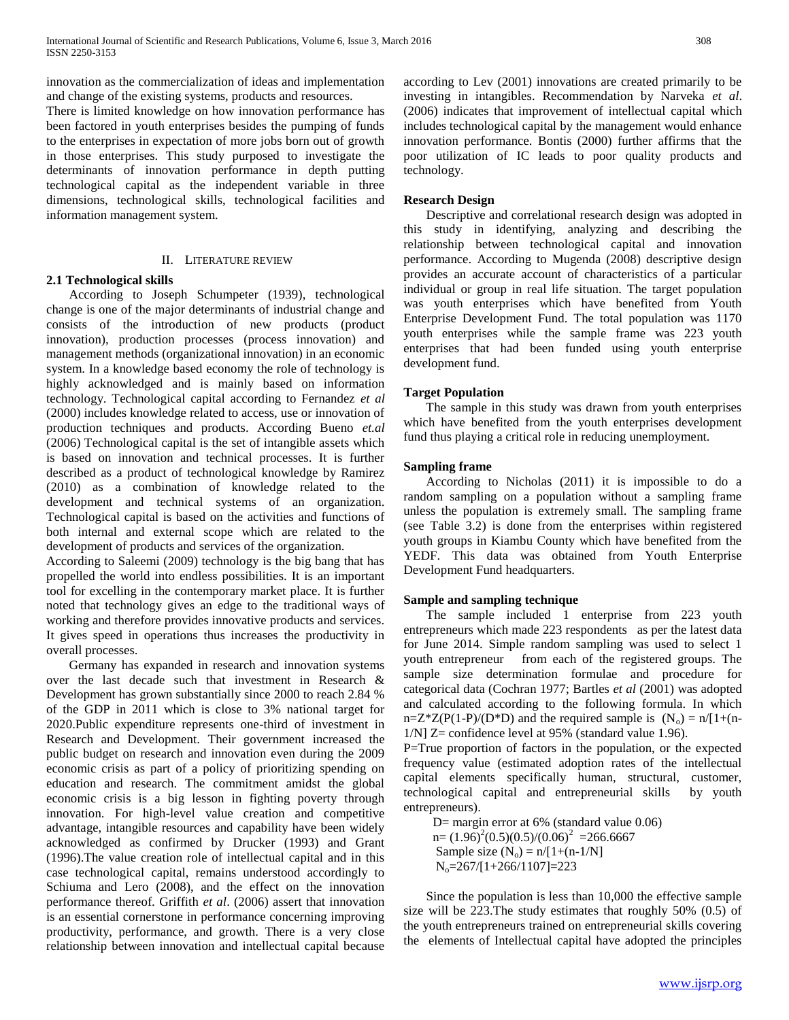innovation as the commercialization of ideas and implementation and change of the existing systems, products and resources.

There is limited knowledge on how innovation performance has been factored in youth enterprises besides the pumping of funds to the enterprises in expectation of more jobs born out of growth in those enterprises. This study purposed to investigate the determinants of innovation performance in depth putting technological capital as the independent variable in three dimensions, technological skills, technological facilities and information management system.

### II. LITERATURE REVIEW

## **2.1 Technological skills**

 According to Joseph Schumpeter (1939), technological change is one of the major determinants of industrial change and consists of the introduction of new products (product innovation), production processes (process innovation) and management methods (organizational innovation) in an economic system. In a knowledge based economy the role of technology is highly acknowledged and is mainly based on information technology. Technological capital according to Fernandez *et al*  (2000) includes knowledge related to access, use or innovation of production techniques and products. According Bueno *et.al* (2006) Technological capital is the set of intangible assets which is based on innovation and technical processes. It is further described as a product of technological knowledge by Ramirez (2010) as a combination of knowledge related to the development and technical systems of an organization. Technological capital is based on the activities and functions of both internal and external scope which are related to the development of products and services of the organization.

According to Saleemi (2009) technology is the big bang that has propelled the world into endless possibilities. It is an important tool for excelling in the contemporary market place. It is further noted that technology gives an edge to the traditional ways of working and therefore provides innovative products and services. It gives speed in operations thus increases the productivity in overall processes.

 Germany has expanded in research and innovation systems over the last decade such that investment in Research & Development has grown substantially since 2000 to reach 2.84 % of the GDP in 2011 which is close to 3% national target for 2020.Public expenditure represents one-third of investment in Research and Development. Their government increased the public budget on research and innovation even during the 2009 economic crisis as part of a policy of prioritizing spending on education and research. The commitment amidst the global economic crisis is a big lesson in fighting poverty through innovation. For high-level value creation and competitive advantage, intangible resources and capability have been widely acknowledged as confirmed by Drucker (1993) and Grant (1996).The value creation role of intellectual capital and in this case technological capital, remains understood accordingly to Schiuma and Lero (2008), and the effect on the innovation performance thereof. Griffith *et al*. (2006) assert that innovation is an essential cornerstone in performance concerning improving productivity, performance, and growth. There is a very close relationship between innovation and intellectual capital because

according to Lev (2001) innovations are created primarily to be investing in intangibles. Recommendation by Narveka *et al*. (2006) indicates that improvement of intellectual capital which includes technological capital by the management would enhance innovation performance. Bontis (2000) further affirms that the poor utilization of IC leads to poor quality products and technology.

### **Research Design**

 Descriptive and correlational research design was adopted in this study in identifying, analyzing and describing the relationship between technological capital and innovation performance. According to Mugenda (2008) descriptive design provides an accurate account of characteristics of a particular individual or group in real life situation. The target population was youth enterprises which have benefited from Youth Enterprise Development Fund. The total population was 1170 youth enterprises while the sample frame was 223 youth enterprises that had been funded using youth enterprise development fund.

### **Target Population**

 The sample in this study was drawn from youth enterprises which have benefited from the youth enterprises development fund thus playing a critical role in reducing unemployment.

#### **Sampling frame**

 According to Nicholas (2011) it is impossible to do a random sampling on a population without a sampling frame unless the population is extremely small. The sampling frame (see Table 3.2) is done from the enterprises within registered youth groups in Kiambu County which have benefited from the YEDF. This data was obtained from Youth Enterprise Development Fund headquarters.

### **Sample and sampling technique**

 The sample included 1 enterprise from 223 youth entrepreneurs which made 223 respondents as per the latest data for June 2014. Simple random sampling was used to select 1 youth entrepreneur from each of the registered groups. The sample size determination formulae and procedure for categorical data (Cochran 1977; Bartles *et al* (2001) was adopted and calculated according to the following formula. In which n=Z\*Z(P(1-P)/(D\*D) and the required sample is  $(N_0) = n/[1+(n 1/N$ ]  $Z =$  confidence level at 95% (standard value 1.96).

P=True proportion of factors in the population, or the expected frequency value (estimated adoption rates of the intellectual capital elements specifically human, structural, customer, technological capital and entrepreneurial skills by youth entrepreneurs).

D= margin error at 6% (standard value 0.06)  $n = (1.96)^{2}(0.5)(0.5)/(0.06)^{2} = 266.6667$ Sample size  $(N_0) = n/[1+(n-1/N)]$  $N_0 = 267/[1+266/1107] = 223$ 

 Since the population is less than 10,000 the effective sample size will be 223.The study estimates that roughly 50% (0.5) of the youth entrepreneurs trained on entrepreneurial skills covering the elements of Intellectual capital have adopted the principles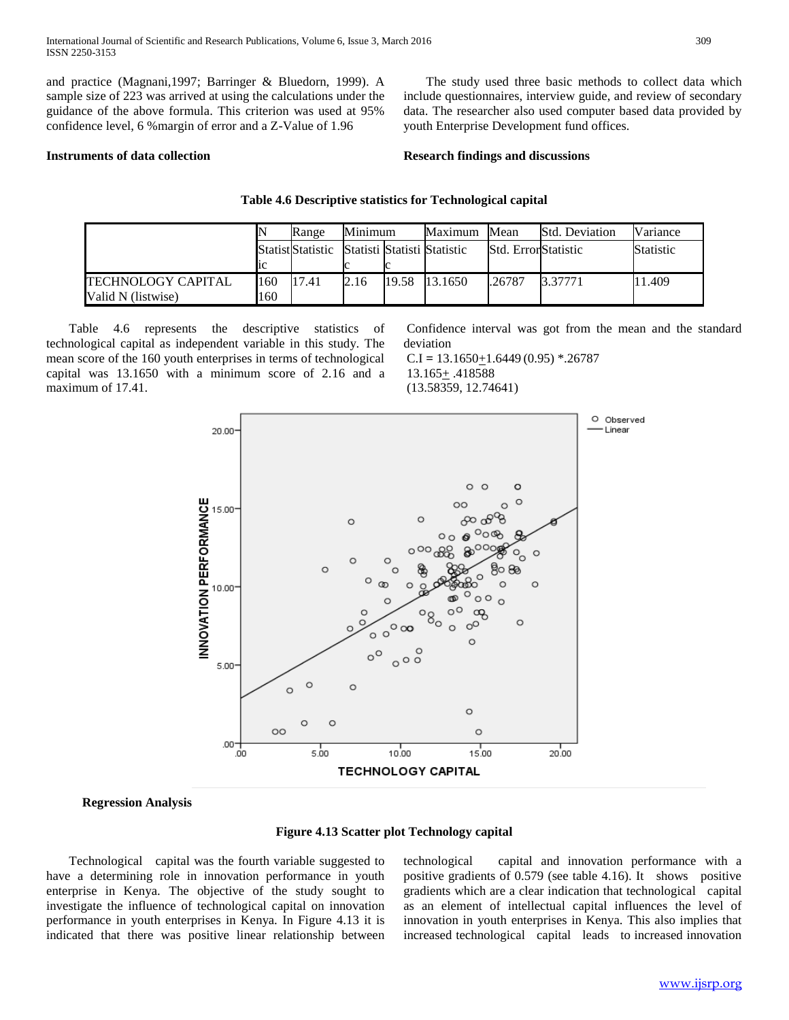and practice (Magnani,1997; Barringer & Bluedorn, 1999). A sample size of 223 was arrived at using the calculations under the guidance of the above formula. This criterion was used at 95% confidence level, 6 %margin of error and a Z-Value of 1.96

 The study used three basic methods to collect data which include questionnaires, interview guide, and review of secondary data. The researcher also used computer based data provided by youth Enterprise Development fund offices.

#### **Instruments of data collection**

#### **Research findings and discussions**

|                    |     | Range                    | Minimum | Maximum                     | Mean                | <b>Std. Deviation</b> | Variance         |
|--------------------|-----|--------------------------|---------|-----------------------------|---------------------|-----------------------|------------------|
|                    |     | <b>Statist</b> Statistic |         | Statisti Statisti Statistic | Std. ErrorStatistic |                       | <b>Statistic</b> |
|                    | 1C  |                          |         |                             |                     |                       |                  |
| TECHNOLOGY CAPITAL | 160 | 17.41                    | 2.16    | 19.58 13.1650               | .26787              | 3.37771               | 11.409           |
| Valid N (listwise) | 160 |                          |         |                             |                     |                       |                  |

**Table 4.6 Descriptive statistics for Technological capital**

 Table 4.6 represents the descriptive statistics of technological capital as independent variable in this study. The mean score of the 160 youth enterprises in terms of technological capital was 13.1650 with a minimum score of 2.16 and a maximum of 17.41.

Confidence interval was got from the mean and the standard deviation

 $C.I = 13.1650 + 1.6449(0.95) * .26787$ 13.165+ .418588 (13.58359, 12.74641)



**Regression Analysis**



 Technological capital was the fourth variable suggested to have a determining role in innovation performance in youth enterprise in Kenya. The objective of the study sought to investigate the influence of technological capital on innovation performance in youth enterprises in Kenya. In Figure 4.13 it is indicated that there was positive linear relationship between

technological capital and innovation performance with a positive gradients of 0.579 (see table 4.16). It shows positive gradients which are a clear indication that technological capital as an element of intellectual capital influences the level of innovation in youth enterprises in Kenya. This also implies that increased technological capital leads to increased innovation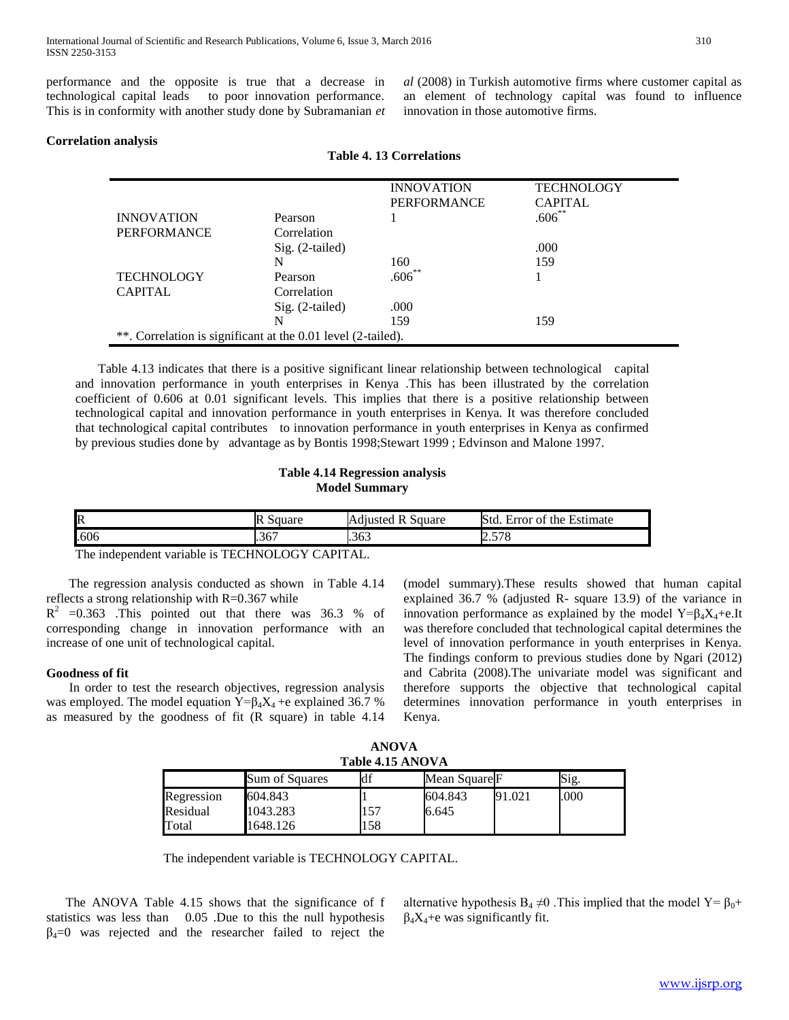performance and the opposite is true that a decrease in technological capital leads to poor innovation performance. This is in conformity with another study done by Subramanian *et*  *al* (2008) in Turkish automotive firms where customer capital as an element of technology capital was found to influence innovation in those automotive firms.

#### **Correlation analysis**

|                                                              |                   | <b>INNOVATION</b>  | <b>TECHNOLOGY</b> |  |  |  |  |
|--------------------------------------------------------------|-------------------|--------------------|-------------------|--|--|--|--|
|                                                              |                   | <b>PERFORMANCE</b> | <b>CAPITAL</b>    |  |  |  |  |
| <b>INNOVATION</b>                                            | Pearson           |                    | $.606**$          |  |  |  |  |
| <b>PERFORMANCE</b>                                           | Correlation       |                    |                   |  |  |  |  |
|                                                              | $Sig. (2-tailed)$ |                    | .000              |  |  |  |  |
|                                                              | N                 | 160                | 159               |  |  |  |  |
| <b>TECHNOLOGY</b>                                            | Pearson           | $.606***$          |                   |  |  |  |  |
| <b>CAPITAL</b>                                               | Correlation       |                    |                   |  |  |  |  |
|                                                              | $Sig. (2-tailed)$ | .000               |                   |  |  |  |  |
|                                                              | N                 | 159                | 159               |  |  |  |  |
| **. Correlation is significant at the 0.01 level (2-tailed). |                   |                    |                   |  |  |  |  |

**Table 4. 13 Correlations**

 Table 4.13 indicates that there is a positive significant linear relationship between technological capital and innovation performance in youth enterprises in Kenya .This has been illustrated by the correlation coefficient of 0.606 at 0.01 significant levels. This implies that there is a positive relationship between technological capital and innovation performance in youth enterprises in Kenya. It was therefore concluded that technological capital contributes to innovation performance in youth enterprises in Kenya as confirmed by previous studies done by advantage as by Bontis 1998;Stewart 1999 ; Edvinson and Malone 1997.

#### **Table 4.14 Regression analysis Model Summary**

| __<br>. |             |                                    |                                     |  |  |  |
|---------|-------------|------------------------------------|-------------------------------------|--|--|--|
| .606    | .367        | .363                               | 570<br>2.J I O                      |  |  |  |
| R       | R<br>Square | $\cdot$<br>Adjusted<br>Square<br>ĸ | Std.<br>Estimate<br>Error of<br>the |  |  |  |

The independent variable is TECHNOLOGY CAPITAL.

 The regression analysis conducted as shown in Table 4.14 reflects a strong relationship with  $R=0.367$  while

 $R^2$  =0.363 .This pointed out that there was 36.3 % of corresponding change in innovation performance with an increase of one unit of technological capital.

#### **Goodness of fit**

 In order to test the research objectives, regression analysis was employed. The model equation  $Y = \beta_4 X_4 + e$  explained 36.7 % as measured by the goodness of fit (R square) in table 4.14

(model summary).These results showed that human capital explained 36.7 % (adjusted R- square 13.9) of the variance in innovation performance as explained by the model Y= $\beta_4X_4+e$ .It was therefore concluded that technological capital determines the level of innovation performance in youth enterprises in Kenya. The findings conform to previous studies done by Ngari (2012) and Cabrita (2008).The univariate model was significant and therefore supports the objective that technological capital determines innovation performance in youth enterprises in Kenya.

| <b>ANOVA</b>     |  |  |  |  |  |  |
|------------------|--|--|--|--|--|--|
| Table 4.15 ANOVA |  |  |  |  |  |  |

|            | Sum of Squares | u   | Mean Square F |      | Sig. |  |  |
|------------|----------------|-----|---------------|------|------|--|--|
| Regression | 604.843        |     | 604.843       | .021 | .000 |  |  |
| Residual   | 1043.283       | .57 | 6.645         |      |      |  |  |
| Fotal      | 648.126        | .58 |               |      |      |  |  |

The independent variable is TECHNOLOGY CAPITAL.

 The ANOVA Table 4.15 shows that the significance of f statistics was less than 0.05 .Due to this the null hypothesis  $\beta_4=0$  was rejected and the researcher failed to reject the alternative hypothesis  $B_4 \neq 0$ . This implied that the model Y=  $\beta_0$ +  $\beta_4X_4 + e$  was significantly fit.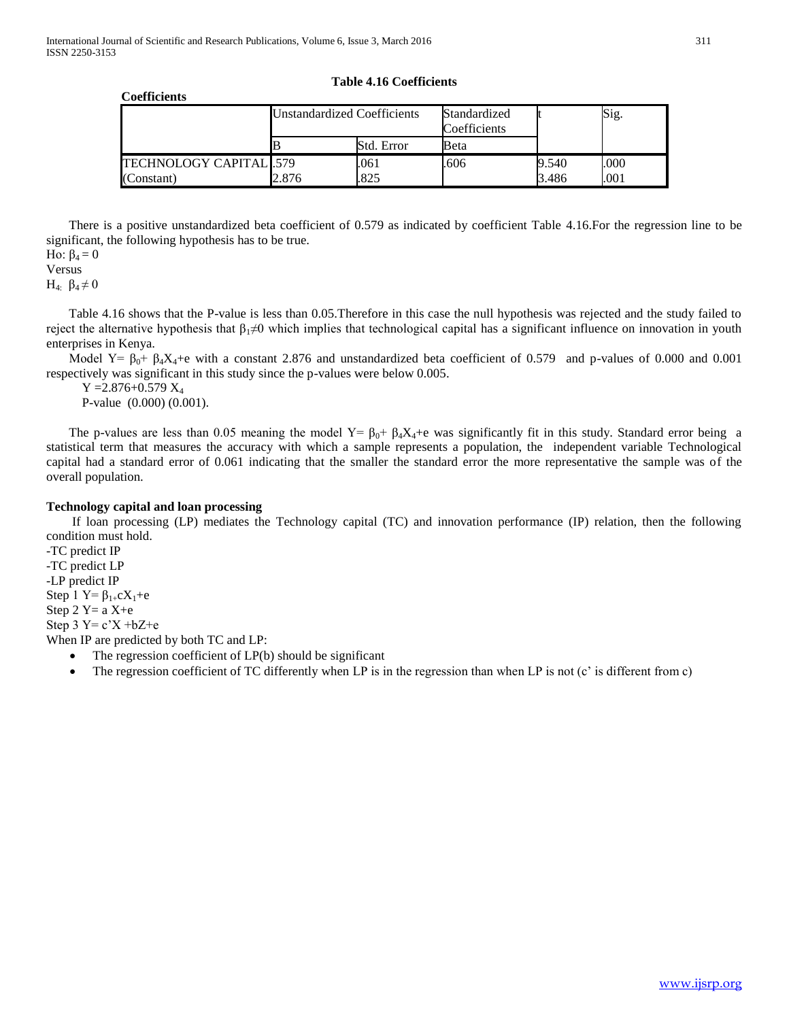#### **Coefficients**

#### **Table 4.16 Coefficients**

|                        | <b>Unstandardized Coefficients</b> |            | Standardized<br>Coefficients |       | Sig. |
|------------------------|------------------------------------|------------|------------------------------|-------|------|
|                        |                                    | Std. Error | Beta                         |       |      |
| TECHNOLOGY CAPITAL 579 |                                    | .061       | .606                         | 9.540 | .000 |
| (Constant)             | 2.876                              | 825        |                              | 3.486 | .001 |

 There is a positive unstandardized beta coefficient of 0.579 as indicated by coefficient Table 4.16.For the regression line to be significant, the following hypothesis has to be true. Ho:  $β_4 = 0$ 

# Versus

H<sub>4</sub>:  $β_4 \neq 0$ 

 Table 4.16 shows that the P-value is less than 0.05.Therefore in this case the null hypothesis was rejected and the study failed to reject the alternative hypothesis that  $β_1 ≠ 0$  which implies that technological capital has a significant influence on innovation in youth enterprises in Kenya.

Model  $Y = \beta_0 + \beta_4 X_4 + e$  with a constant 2.876 and unstandardized beta coefficient of 0.579 and p-values of 0.000 and 0.001 respectively was significant in this study since the p-values were below 0.005.

 $Y = 2.876 + 0.579 X_4$ 

P-value (0.000) (0.001).

The p-values are less than 0.05 meaning the model  $Y = \beta_0 + \beta_4 X_4 + \epsilon$  was significantly fit in this study. Standard error being a statistical term that measures the accuracy with which a sample represents a population, the independent variable Technological capital had a standard error of 0.061 indicating that the smaller the standard error the more representative the sample was of the overall population.

### **Technology capital and loan processing**

 If loan processing (LP) mediates the Technology capital (TC) and innovation performance (IP) relation, then the following condition must hold.

-TC predict IP -TC predict LP -LP predict IP Step 1  $Y = \beta_{1+} c X_1 + e$ Step  $2 Y=a X+e$ Step  $3 Y = c'X + bZ + e$ When IP are predicted by both TC and LP:

- The regression coefficient of LP(b) should be significant
- The regression coefficient of TC differently when LP is in the regression than when LP is not (c' is different from c)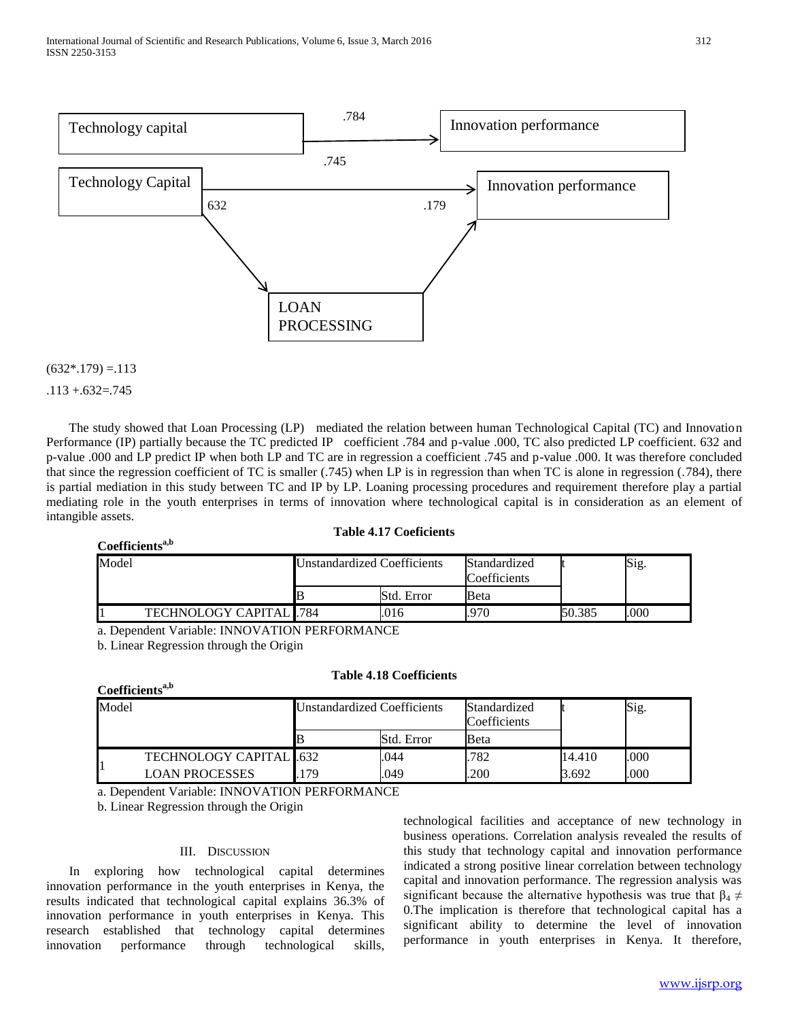

### $(632*.179) = .113$

 $.113 + .632 = .745$ 

**Coefficientsa,b**

**Coefficientsa,b**

 The study showed that Loan Processing (LP) mediated the relation between human Technological Capital (TC) and Innovation Performance (IP) partially because the TC predicted IP coefficient .784 and p-value .000, TC also predicted LP coefficient. 632 and p-value .000 and LP predict IP when both LP and TC are in regression a coefficient .745 and p-value .000. It was therefore concluded that since the regression coefficient of TC is smaller (.745) when LP is in regression than when TC is alone in regression (.784), there is partial mediation in this study between TC and IP by LP. Loaning processing procedures and requirement therefore play a partial mediating role in the youth enterprises in terms of innovation where technological capital is in consideration as an element of intangible assets.

### **Table 4.17 Coeficients**

| Model                          | Unstandardized Coefficients<br>Standardized |      |        | Sig. |
|--------------------------------|---------------------------------------------|------|--------|------|
|                                | Std. Error                                  | Beta |        |      |
| <b>TECHNOLOGY CAPITAL 1784</b> | 016                                         | 970  | 50.385 | .000 |

a. Dependent Variable: INNOVATION PERFORMANCE

b. Linear Regression through the Origin

### **Table 4.18 Coefficients**

| Model |                                 | <b>Unstandardized Coefficients</b> |            | Standardized<br>Coefficients |        | Sig. |
|-------|---------------------------------|------------------------------------|------------|------------------------------|--------|------|
|       |                                 |                                    | Std. Error | Beta                         |        |      |
|       | <b>TECHNOLOGY CAPITAL 1.632</b> |                                    | .044       | .782                         | 14.410 | .000 |
|       | LOAN PROCESSES                  | 179                                | .049       | .200                         | 3.692  | .000 |

a. Dependent Variable: INNOVATION PERFORMANCE

b. Linear Regression through the Origin

#### III. DISCUSSION

 In exploring how technological capital determines innovation performance in the youth enterprises in Kenya, the results indicated that technological capital explains 36.3% of innovation performance in youth enterprises in Kenya. This research established that technology capital determines innovation performance through technological skills,

technological facilities and acceptance of new technology in business operations. Correlation analysis revealed the results of this study that technology capital and innovation performance indicated a strong positive linear correlation between technology capital and innovation performance. The regression analysis was significant because the alternative hypothesis was true that  $\beta_4 \neq$ 0.The implication is therefore that technological capital has a significant ability to determine the level of innovation performance in youth enterprises in Kenya. It therefore,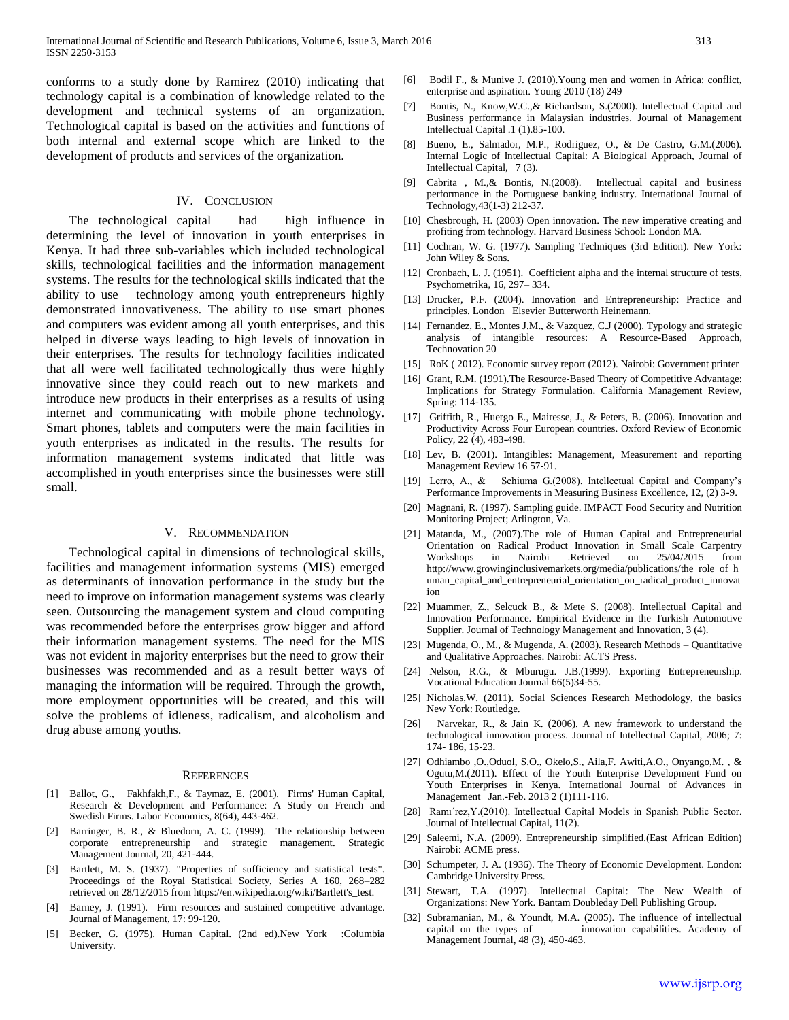conforms to a study done by Ramirez (2010) indicating that technology capital is a combination of knowledge related to the development and technical systems of an organization. Technological capital is based on the activities and functions of both internal and external scope which are linked to the development of products and services of the organization.

#### IV. CONCLUSION

 The technological capital had high influence in determining the level of innovation in youth enterprises in Kenya. It had three sub-variables which included technological skills, technological facilities and the information management systems. The results for the technological skills indicated that the ability to use technology among youth entrepreneurs highly demonstrated innovativeness. The ability to use smart phones and computers was evident among all youth enterprises, and this helped in diverse ways leading to high levels of innovation in their enterprises. The results for technology facilities indicated that all were well facilitated technologically thus were highly innovative since they could reach out to new markets and introduce new products in their enterprises as a results of using internet and communicating with mobile phone technology. Smart phones, tablets and computers were the main facilities in youth enterprises as indicated in the results. The results for information management systems indicated that little was accomplished in youth enterprises since the businesses were still small.

#### V. RECOMMENDATION

 Technological capital in dimensions of technological skills, facilities and management information systems (MIS) emerged as determinants of innovation performance in the study but the need to improve on information management systems was clearly seen. Outsourcing the management system and cloud computing was recommended before the enterprises grow bigger and afford their information management systems. The need for the MIS was not evident in majority enterprises but the need to grow their businesses was recommended and as a result better ways of managing the information will be required. Through the growth, more employment opportunities will be created, and this will solve the problems of idleness, radicalism, and alcoholism and drug abuse among youths.

#### **REFERENCES**

- [1] Ballot, G., Fakhfakh,F., & Taymaz, E. (2001). Firms' Human Capital, Research & Development and Performance: A Study on French and Swedish Firms. Labor Economics, 8(64), 443-462.
- [2] Barringer, B. R., & Bluedorn, A. C. (1999). The relationship between corporate entrepreneurship and strategic management. Strategic Management Journal, 20, 421-444.
- [3] Bartlett, M. S. (1937). "Properties of sufficiency and statistical tests". Proceedings of the Royal Statistical Society, Series A 160, 268–282 retrieved on 28/12/2015 from https://en.wikipedia.org/wiki/Bartlett's\_test.
- [4] Barney, J. (1991). Firm resources and sustained competitive advantage. Journal of Management, 17: 99-120.
- [5] Becker, G. (1975). Human Capital. (2nd ed).New York :Columbia University.
- [6] Bodil F., & Munive J. (2010).Young men and women in Africa: conflict, enterprise and aspiration. Young 2010 (18) 249
- [7] Bontis, N., Know,W.C.,& Richardson, S.(2000). Intellectual Capital and Business performance in Malaysian industries. Journal of Management Intellectual Capital .1 (1).85-100.
- [8] Bueno, E., Salmador, M.P., Rodriguez, O., & De Castro, G.M.(2006). Internal Logic of Intellectual Capital: A Biological Approach, Journal of Intellectual Capital, 7 (3).
- [9] Cabrita , M.,& Bontis, N.(2008). Intellectual capital and business performance in the Portuguese banking industry. International Journal of Technology,43(1-3) 212-37.
- [10] Chesbrough, H. (2003) Open innovation. The new imperative creating and profiting from technology. Harvard Business School: London MA.
- [11] Cochran, W. G. (1977). Sampling Techniques (3rd Edition). New York: John Wiley & Sons.
- [12] Cronbach, L. J. (1951). Coefficient alpha and the internal structure of tests, Psychometrika, 16, 297– 334.
- [13] Drucker, P.F. (2004). Innovation and Entrepreneurship: Practice and principles. London Elsevier Butterworth Heinemann.
- [14] Fernandez, E., Montes J.M., & Vazquez, C.J (2000). Typology and strategic analysis of intangible resources: A Resource-Based Approach, Technovation 20
- [15] RoK (2012). Economic survey report (2012). Nairobi: Government printer
- [16] Grant, R.M. (1991). The Resource-Based Theory of Competitive Advantage: Implications for Strategy Formulation. California Management Review, Spring: 114-135.
- [17] Griffith, R., Huergo E., Mairesse, J., & Peters, B. (2006). Innovation and Productivity Across Four European countries. Oxford Review of Economic Policy, 22 (4), 483-498.
- [18] Lev, B. (2001). Intangibles: Management, Measurement and reporting Management Review 16 57-91.
- [19] Lerro, A., & Schiuma G.(2008). Intellectual Capital and Company's Performance Improvements in Measuring Business Excellence, 12, (2) 3-9.
- [20] Magnani, R. (1997). Sampling guide. IMPACT Food Security and Nutrition Monitoring Project; Arlington, Va.
- [21] Matanda, M., (2007).The role of Human Capital and Entrepreneurial Orientation on Radical Product Innovation in Small Scale Carpentry Workshops in Nairobi .Retrieved on 25/04/2015 from http://www.growinginclusivemarkets.org/media/publications/the\_role\_of\_h uman\_capital\_and\_entrepreneurial\_orientation\_on\_radical\_product\_innovat ion
- [22] Muammer, Z., Selcuck B., & Mete S. (2008). Intellectual Capital and Innovation Performance. Empirical Evidence in the Turkish Automotive Supplier. Journal of Technology Management and Innovation, 3 (4).
- [23] Mugenda, O., M., & Mugenda, A. (2003). Research Methods Quantitative and Qualitative Approaches. Nairobi: ACTS Press.
- [24] Nelson, R.G., & Mburugu. J.B.(1999). Exporting Entrepreneurship. Vocational Education Journal 66(5)34-55.
- [25] Nicholas, W. (2011). Social Sciences Research Methodology, the basics New York: Routledge.
- [26] Narvekar, R., & Jain K. (2006). A new framework to understand the technological innovation process. Journal of Intellectual Capital, 2006; 7: 174- 186, 15-23.
- [27] Odhiambo ,O.,Oduol, S.O., Okelo,S., Aila,F. Awiti,A.O., Onyango,M. , & Ogutu,M.(2011). Effect of the Youth Enterprise Development Fund on Youth Enterprises in Kenya. International Journal of Advances in Management Jan.-Feb. 2013 2 (1)111-116.
- [28] Ramı´rez,Y.(2010). Intellectual Capital Models in Spanish Public Sector. Journal of Intellectual Capital, 11(2).
- [29] Saleemi, N.A. (2009). Entrepreneurship simplified.(East African Edition) Nairobi: ACME press.
- [30] Schumpeter, J. A. (1936). The Theory of Economic Development. London: Cambridge University Press.
- [31] Stewart, T.A. (1997). Intellectual Capital: The New Wealth of Organizations: New York. Bantam Doubleday Dell Publishing Group.
- [32] Subramanian, M., & Youndt, M.A. (2005). The influence of intellectual innovation capabilities. Academy of Management Journal, 48 (3), 450-463.